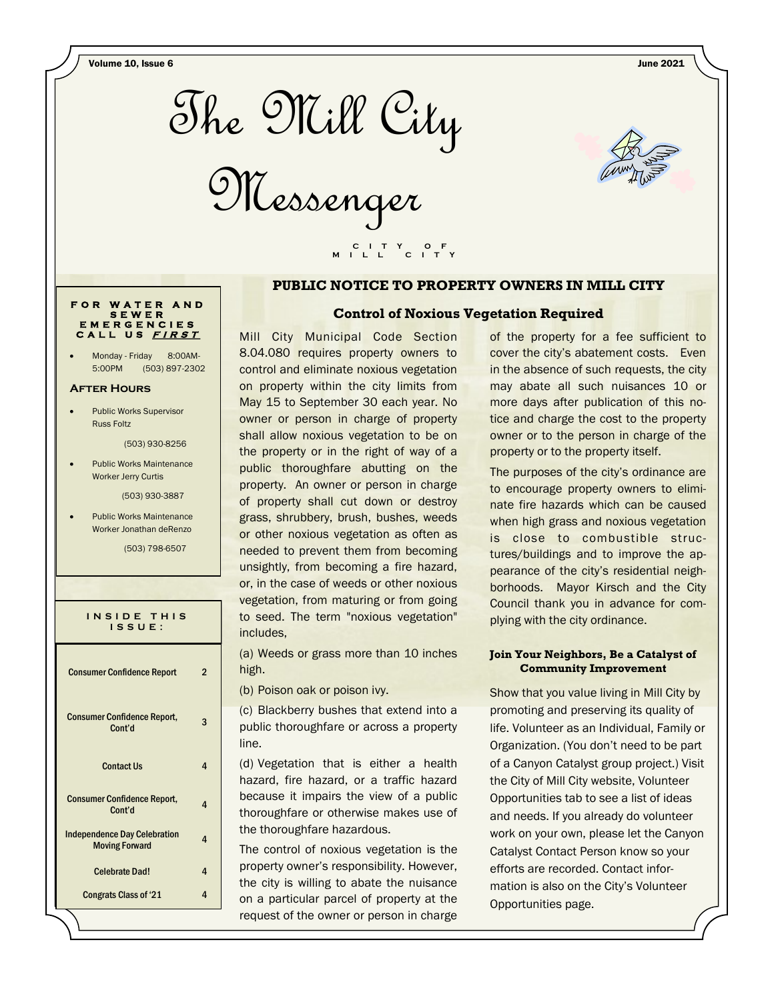Volume 10, Issue 6 June 2021



Messenger

 **C I T Y O F M I L L C I T Y**



#### **PUBLIC NOTICE TO PROPERTY OWNERS IN MILL CITY**



Monday - Friday 8:00AM-5:00PM (503) 897-2302

#### **After Hours**

Public Works Supervisor Russ Foltz

(503) 930-8256

Public Works Maintenance Worker Jerry Curtis

(503) 930-3887

Public Works Maintenance Worker Jonathan deRenzo

(503) 798-6507

| INSIDE THIS<br>ISSUE:                                        |   |
|--------------------------------------------------------------|---|
| <b>Consumer Confidence Report</b>                            | 2 |
| <b>Consumer Confidence Report,</b><br>Cont'd                 | 3 |
| <b>Contact Us</b>                                            | 4 |
| <b>Consumer Confidence Report,</b><br>Cont'd                 | 4 |
| <b>Independence Day Celebration</b><br><b>Moving Forward</b> | 4 |
| Celebrate Dad!                                               | 4 |
| <b>Congrats Class of '21</b>                                 | 4 |

#### **Control of Noxious Vegetation Required**

Mill City Municipal Code Section 8.04.080 requires property owners to control and eliminate noxious vegetation on property within the city limits from May 15 to September 30 each year. No owner or person in charge of property shall allow noxious vegetation to be on the property or in the right of way of a public thoroughfare abutting on the property. An owner or person in charge of property shall cut down or destroy grass, shrubbery, brush, bushes, weeds or other noxious vegetation as often as needed to prevent them from becoming unsightly, from becoming a fire hazard, or, in the case of weeds or other noxious vegetation, from maturing or from going to seed. The term "noxious vegetation" includes,

(a) Weeds or grass more than 10 inches high.

(b) Poison oak or poison ivy.

(c) Blackberry bushes that extend into a public thoroughfare or across a property line.

(d) Vegetation that is either a health hazard, fire hazard, or a traffic hazard because it impairs the view of a public thoroughfare or otherwise makes use of the thoroughfare hazardous.

The control of noxious vegetation is the property owner's responsibility. However, the city is willing to abate the nuisance on a particular parcel of property at the request of the owner or person in charge

of the property for a fee sufficient to cover the city's abatement costs. Even in the absence of such requests, the city may abate all such nuisances 10 or more days after publication of this notice and charge the cost to the property owner or to the person in charge of the property or to the property itself.

The purposes of the city's ordinance are to encourage property owners to eliminate fire hazards which can be caused when high grass and noxious vegetation is close to combustible structures/buildings and to improve the appearance of the city's residential neighborhoods. Mayor Kirsch and the City Council thank you in advance for complying with the city ordinance.

#### **Join Your Neighbors, Be a Catalyst of Community Improvement**

Show that you value living in Mill City by promoting and preserving its quality of life. Volunteer as an Individual, Family or Organization. (You don't need to be part of a Canyon Catalyst group project.) Visit the City of Mill City website, Volunteer Opportunities tab to see a list of ideas and needs. If you already do volunteer work on your own, please let the Canyon Catalyst Contact Person know so your efforts are recorded. Contact information is also on the City's Volunteer Opportunities page.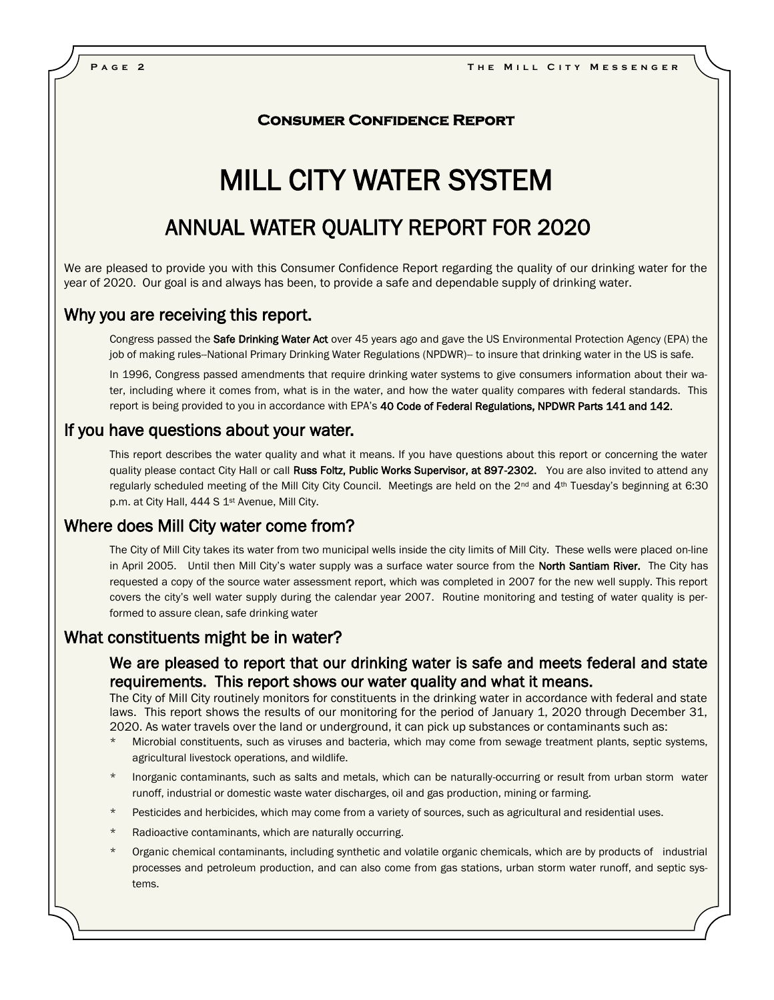#### **Consumer Confidence Report**

# MILL CITY WATER SYSTEM

# ANNUAL WATER QUALITY REPORT FOR 2020

We are pleased to provide you with this Consumer Confidence Report regarding the quality of our drinking water for the year of 2020. Our goal is and always has been, to provide a safe and dependable supply of drinking water.

#### Why you are receiving this report.

Congress passed the Safe Drinking Water Act over 45 years ago and gave the US Environmental Protection Agency (EPA) the job of making rules--National Primary Drinking Water Regulations (NPDWR)-- to insure that drinking water in the US is safe.

In 1996, Congress passed amendments that require drinking water systems to give consumers information about their water, including where it comes from, what is in the water, and how the water quality compares with federal standards. This report is being provided to you in accordance with EPA's 40 Code of Federal Regulations, NPDWR Parts 141 and 142.

### If you have questions about your water.

This report describes the water quality and what it means. If you have questions about this report or concerning the water quality please contact City Hall or call Russ Foltz, Public Works Supervisor, at 897-2302. You are also invited to attend any regularly scheduled meeting of the Mill City City Council. Meetings are held on the 2<sup>nd</sup> and 4<sup>th</sup> Tuesday's beginning at 6:30 p.m. at City Hall, 444 S 1<sup>st</sup> Avenue, Mill City.

## Where does Mill City water come from?

The City of Mill City takes its water from two municipal wells inside the city limits of Mill City. These wells were placed on-line in April 2005. Until then Mill City's water supply was a surface water source from the North Santiam River. The City has requested a copy of the source water assessment report, which was completed in 2007 for the new well supply. This report covers the city's well water supply during the calendar year 2007. Routine monitoring and testing of water quality is performed to assure clean, safe drinking water

#### What constituents might be in water?

## We are pleased to report that our drinking water is safe and meets federal and state requirements. This report shows our water quality and what it means.

The City of Mill City routinely monitors for constituents in the drinking water in accordance with federal and state laws. This report shows the results of our monitoring for the period of January 1, 2020 through December 31, 2020. As water travels over the land or underground, it can pick up substances or contaminants such as:

- Microbial constituents, such as viruses and bacteria, which may come from sewage treatment plants, septic systems, agricultural livestock operations, and wildlife.
- Inorganic contaminants, such as salts and metals, which can be naturally-occurring or result from urban storm water runoff, industrial or domestic waste water discharges, oil and gas production, mining or farming.
- Pesticides and herbicides, which may come from a variety of sources, such as agricultural and residential uses.
- Radioactive contaminants, which are naturally occurring.
- Organic chemical contaminants, including synthetic and volatile organic chemicals, which are by products of industrial processes and petroleum production, and can also come from gas stations, urban storm water runoff, and septic systems.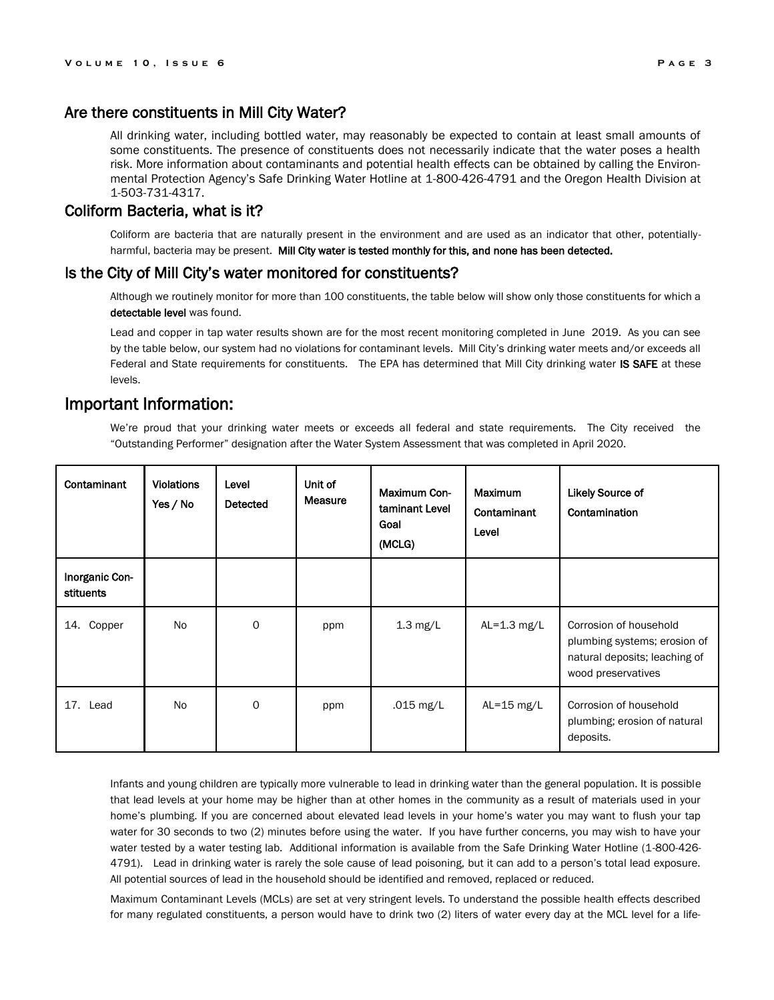### Are there constituents in Mill City Water?

All drinking water, including bottled water, may reasonably be expected to contain at least small amounts of some constituents. The presence of constituents does not necessarily indicate that the water poses a health risk. More information about contaminants and potential health effects can be obtained by calling the Environmental Protection Agency's Safe Drinking Water Hotline at 1-800-426-4791 and the Oregon Health Division at 1-503-731-4317.

#### Coliform Bacteria, what is it?

Coliform are bacteria that are naturally present in the environment and are used as an indicator that other, potentiallyharmful, bacteria may be present. Mill City water is tested monthly for this, and none has been detected.

#### Is the City of Mill City's water monitored for constituents?

Although we routinely monitor for more than 100 constituents, the table below will show only those constituents for which a detectable level was found.

Lead and copper in tap water results shown are for the most recent monitoring completed in June 2019. As you can see by the table below, our system had no violations for contaminant levels. Mill City's drinking water meets and/or exceeds all Federal and State requirements for constituents. The EPA has determined that Mill City drinking water IS SAFE at these levels.

### Important Information:

We're proud that your drinking water meets or exceeds all federal and state requirements. The City received the "Outstanding Performer" designation after the Water System Assessment that was completed in April 2020.

| Contaminant                 | <b>Violations</b><br>Yes / No | Level<br>Detected | Unit of<br><b>Measure</b> | <b>Maximum Con-</b><br>taminant Level<br>Goal<br>(MCLG) | Maximum<br>Contaminant<br>Level | <b>Likely Source of</b><br>Contamination                                                                      |
|-----------------------------|-------------------------------|-------------------|---------------------------|---------------------------------------------------------|---------------------------------|---------------------------------------------------------------------------------------------------------------|
| Inorganic Con-<br>stituents |                               |                   |                           |                                                         |                                 |                                                                                                               |
| 14. Copper                  | No                            | 0                 | ppm                       | $1.3$ mg/L                                              | AL= $1.3$ mg/L                  | Corrosion of household<br>plumbing systems; erosion of<br>natural deposits; leaching of<br>wood preservatives |
| 17. Lead                    | <b>No</b>                     | 0                 | ppm                       | .015 mg/L                                               | AL= $15 \text{ mg/L}$           | Corrosion of household<br>plumbing; erosion of natural<br>deposits.                                           |

Infants and young children are typically more vulnerable to lead in drinking water than the general population. It is possible that lead levels at your home may be higher than at other homes in the community as a result of materials used in your home's plumbing. If you are concerned about elevated lead levels in your home's water you may want to flush your tap water for 30 seconds to two (2) minutes before using the water. If you have further concerns, you may wish to have your water tested by a water testing lab. Additional information is available from the Safe Drinking Water Hotline (1-800-426- 4791). Lead in drinking water is rarely the sole cause of lead poisoning, but it can add to a person's total lead exposure. All potential sources of lead in the household should be identified and removed, replaced or reduced.

Maximum Contaminant Levels (MCLs) are set at very stringent levels. To understand the possible health effects described for many regulated constituents, a person would have to drink two (2) liters of water every day at the MCL level for a life-